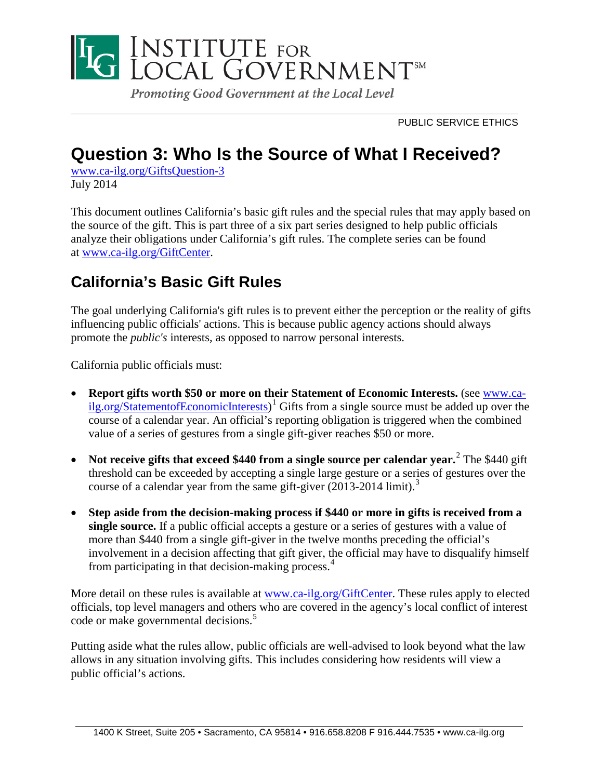

PUBLIC SERVICE ETHICS

# **Question 3: Who Is the Source of What I Received?**

[www.ca-ilg.org/GiftsQuestion-3](http://www.ca-ilg.org/GiftsQuestion-3) July 2014

This document outlines California's basic gift rules and the special rules that may apply based on the source of the gift. This is part three of a six part series designed to help public officials analyze their obligations under California's gift rules. The complete series can be found at [www.ca-ilg.org/GiftCenter.](http://www.ca-ilg.org/GiftCenter)

## **California's Basic Gift Rules**

The goal underlying California's gift rules is to prevent either the perception or the reality of gifts influencing public officials' actions. This is because public agency actions should always promote the *public's* interests*,* as opposed to narrow personal interests.

California public officials must:

- **Report gifts worth \$50 or more on their Statement of Economic Interests.** (see [www.ca](http://www.ca-ilg.org/StatementofEconomicInterests)[ilg.org/StatementofEconomicInterests\)](http://www.ca-ilg.org/StatementofEconomicInterests)<sup>[1](#page-10-0)</sup> Gifts from a single source must be added up over the course of a calendar year. An official's reporting obligation is triggered when the combined value of a series of gestures from a single gift-giver reaches \$50 or more.
- Not receive gifts that exceed \$440 from a single source per calendar year.<sup>[2](#page-10-1)</sup> The \$440 gift threshold can be exceeded by accepting a single large gesture or a series of gestures over the course of a calendar year from the same gift-giver (2013-2014 limit). [3](#page-10-2)
- **Step aside from the decision-making process if \$440 or more in gifts is received from a single source.** If a public official accepts a gesture or a series of gestures with a value of more than \$440 from a single gift-giver in the twelve months preceding the official's involvement in a decision affecting that gift giver, the official may have to disqualify himself from participating in that decision-making process.<sup>[4](#page-10-3)</sup>

More detail on these rules is available at [www.ca-ilg.org/GiftCenter.](http://www.ca-ilg.org/GiftCenter) These rules apply to elected officials, top level managers and others who are covered in the agency's local conflict of interest code or make governmental decisions.<sup>[5](#page-10-4)</sup>

Putting aside what the rules allow, public officials are well-advised to look beyond what the law allows in any situation involving gifts. This includes considering how residents will view a public official's actions.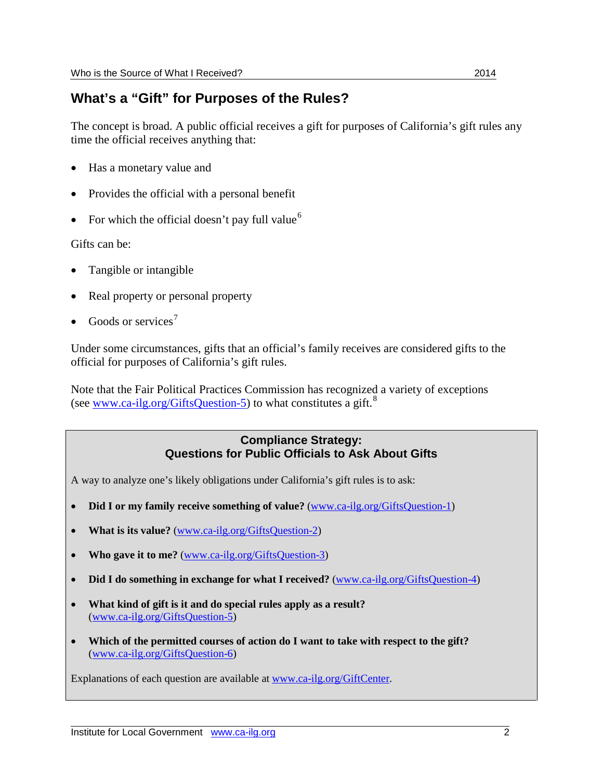### **What's a "Gift" for Purposes of the Rules?**

The concept is broad. A public official receives a gift for purposes of California's gift rules any time the official receives anything that:

- Has a monetary value and
- Provides the official with a personal benefit
- For which the official doesn't pay full value<sup>[6](#page-10-5)</sup>

Gifts can be:

- Tangible or intangible
- Real property or personal property
- Goods or services<sup>[7](#page-10-6)</sup>

Under some circumstances, gifts that an official's family receives are considered gifts to the official for purposes of California's gift rules.

Note that the Fair Political Practices Commission has recognized a variety of exceptions (see [www.ca-ilg.org/GiftsQuestion-5\)](http://www.ca-ilg.org/GiftsQuestion-5) to what constitutes a gift.<sup>[8](#page-10-7)</sup>

#### **Compliance Strategy: Questions for Public Officials to Ask About Gifts**

A way to analyze one's likely obligations under California's gift rules is to ask:

- **Did I or my family receive something of value?** [\(www.ca-ilg.org/GiftsQuestion-1\)](http://www.ca-ilg.org/GiftsQuestion-1)
- **What is its value?** [\(www.ca-ilg.org/GiftsQuestion-2\)](http://www.ca-ilg.org/GiftsQuestion-2)
- **[Who gave it to me?](http://www.ca-ilg.org/GiftsQuestion2)** [\(www.ca-ilg.org/GiftsQuestion-3\)](http://www.ca-ilg.org/GiftsQuestion-3)
- **[Did I do something in exchange for what I received?](http://www.ca-ilg.org/GiftsQuestion3)** [\(www.ca-ilg.org/GiftsQuestion-4\)](http://www.ca-ilg.org/GiftsQuestion-4)
- **[What kind of gift is it and do special rules apply as a result?](http://www.ca-ilg.org/GiftsQuestion4)** [\(www.ca-ilg.org/GiftsQuestion-5\)](http://www.ca-ilg.org/GiftsQuestion-5)
- **[Which of the permitted courses of action do I want to take with respect to the gift?](http://www.ca-ilg.org/GiftsQuestion5)** [\(www.ca-ilg.org/GiftsQuestion-6\)](http://www.ca-ilg.org/GiftsQuestion-6)

Explanations of each question are available at [www.ca-ilg.org/GiftCenter.](http://www.ca-ilg.org/GiftCenter)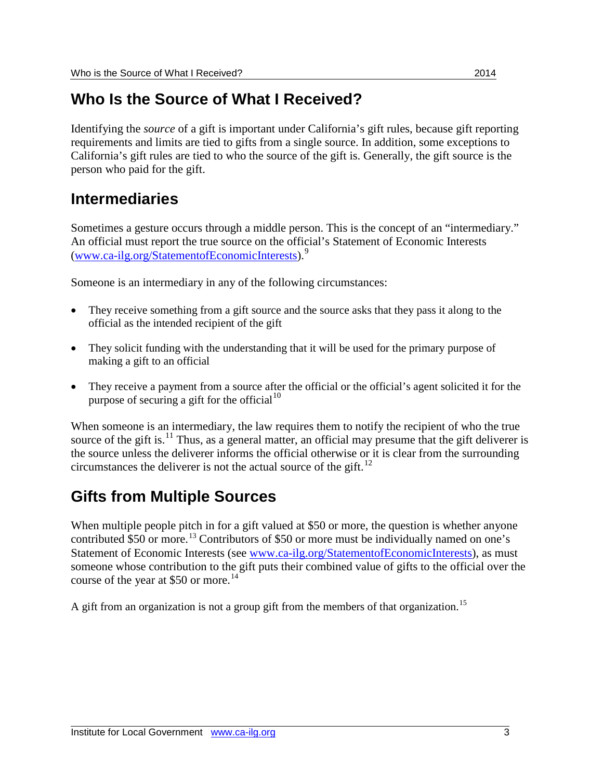## **Who Is the Source of What I Received?**

Identifying the *source* of a gift is important under California's gift rules, because gift reporting requirements and limits are tied to gifts from a single source. In addition, some exceptions to California's gift rules are tied to who the source of the gift is. Generally, the gift source is the person who paid for the gift.

## **Intermediaries**

Sometimes a gesture occurs through a middle person. This is the concept of an "intermediary." An official must report the true source on the official's Statement of Economic Interests [\(www.ca-ilg.org/StatementofEconomicInterests\)](http://www.ca-ilg.org/StatementofEconomicInterests).[9](#page-10-8)

Someone is an intermediary in any of the following circumstances:

- They receive something from a gift source and the source asks that they pass it along to the official as the intended recipient of the gift
- They solicit funding with the understanding that it will be used for the primary purpose of making a gift to an official
- They receive a payment from a source after the official or the official's agent solicited it for the purpose of securing a gift for the official  $10$

When someone is an intermediary, the law requires them to notify the recipient of who the true source of the gift is.<sup>[11](#page-10-10)</sup> Thus, as a general matter, an official may presume that the gift deliverer is the source unless the deliverer informs the official otherwise or it is clear from the surrounding circumstances the deliverer is not the actual source of the gift.<sup>[12](#page-10-11)</sup>

## **Gifts from Multiple Sources**

When multiple people pitch in for a gift valued at \$50 or more, the question is whether anyone contributed \$50 or more.<sup>[13](#page-10-12)</sup> Contributors of \$50 or more must be individually named on one's Statement of Economic Interests (see [www.ca-ilg.org/StatementofEconomicInterests\)](http://www.ca-ilg.org/StatementofEconomicInterests), as must someone whose contribution to the gift puts their combined value of gifts to the official over the course of the year at \$50 or more.<sup>[14](#page-10-13)</sup>

A gift from an organization is not a group gift from the members of that organization.<sup>[15](#page-10-14)</sup>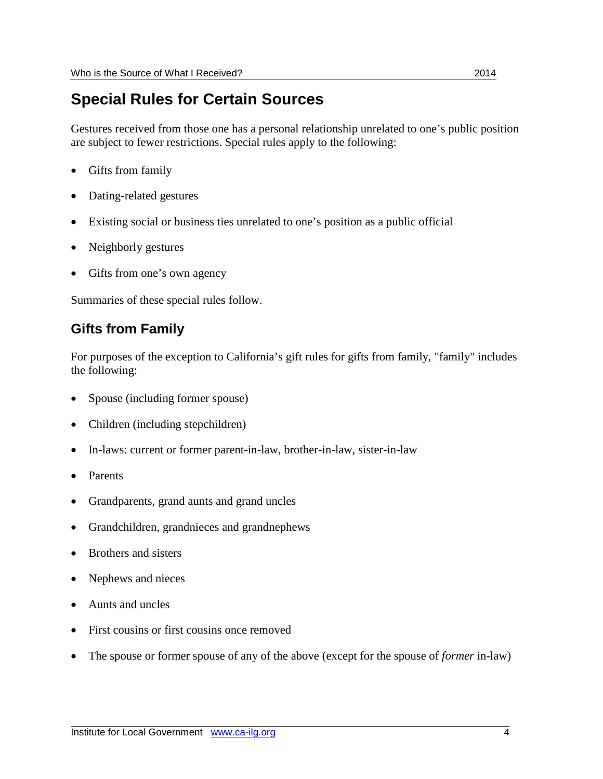## **Special Rules for Certain Sources**

Gestures received from those one has a personal relationship unrelated to one's public position are subject to fewer restrictions. Special rules apply to the following:

- Gifts from family
- Dating-related gestures
- Existing social or business ties unrelated to one's position as a public official
- Neighborly gestures
- Gifts from one's own agency

Summaries of these special rules follow.

### **Gifts from Family**

For purposes of the exception to California's gift rules for gifts from family, "family" includes the following:

- Spouse (including former spouse)
- Children (including stepchildren)
- In-laws: current or former parent-in-law, brother-in-law, sister-in-law
- Parents
- Grandparents, grand aunts and grand uncles
- Grandchildren, grandnieces and grandnephews
- Brothers and sisters
- Nephews and nieces
- Aunts and uncles
- First cousins or first cousins once removed
- The spouse or former spouse of any of the above (except for the spouse of *former* in-law)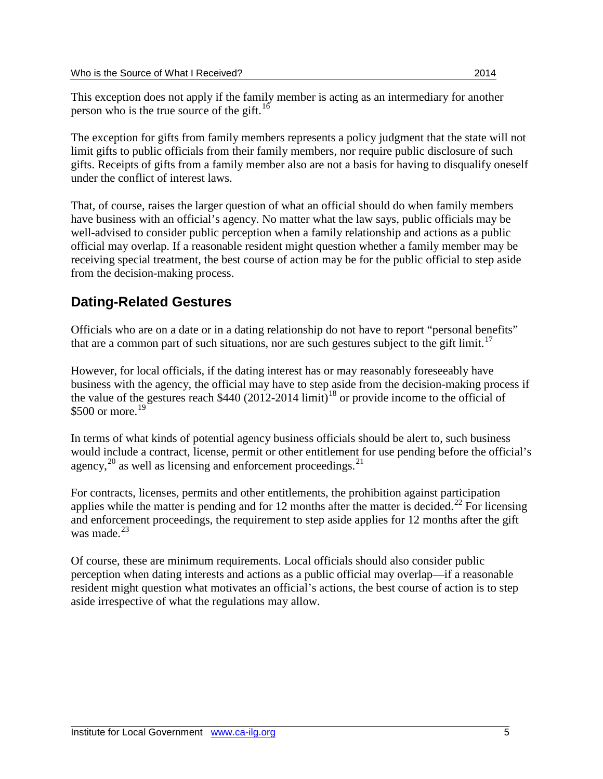This exception does not apply if the family member is acting as an intermediary for another person who is the true source of the gift.<sup>[16](#page-10-15)</sup>

The exception for gifts from family members represents a policy judgment that the state will not limit gifts to public officials from their family members, nor require public disclosure of such gifts. Receipts of gifts from a family member also are not a basis for having to disqualify oneself under the conflict of interest laws.

That, of course, raises the larger question of what an official should do when family members have business with an official's agency. No matter what the law says, public officials may be well-advised to consider public perception when a family relationship and actions as a public official may overlap. If a reasonable resident might question whether a family member may be receiving special treatment, the best course of action may be for the public official to step aside from the decision-making process.

## **Dating-Related Gestures**

Officials who are on a date or in a dating relationship do not have to report "personal benefits" that are a common part of such situations, nor are such gestures subject to the gift limit.<sup>[17](#page-10-16)</sup>

However, for local officials, if the dating interest has or may reasonably foreseeably have business with the agency, the official may have to step aside from the decision-making process if the value of the gestures reach  $$440 (2012-2014 \text{ limit})^{18}$  $$440 (2012-2014 \text{ limit})^{18}$  $$440 (2012-2014 \text{ limit})^{18}$  or provide income to the official of \$500 or more. [19](#page-10-18)

In terms of what kinds of potential agency business officials should be alert to, such business would include a contract, license, permit or other entitlement for use pending before the official's agency, $^{20}$  $^{20}$  $^{20}$  as well as licensing and enforcement proceedings.<sup>[21](#page-10-20)</sup>

For contracts, licenses, permits and other entitlements, the prohibition against participation applies while the matter is pending and for 12 months after the matter is decided.<sup>[22](#page-10-21)</sup> For licensing and enforcement proceedings, the requirement to step aside applies for 12 months after the gift was made $^{23}$  $^{23}$  $^{23}$ 

Of course, these are minimum requirements. Local officials should also consider public perception when dating interests and actions as a public official may overlap—if a reasonable resident might question what motivates an official's actions, the best course of action is to step aside irrespective of what the regulations may allow.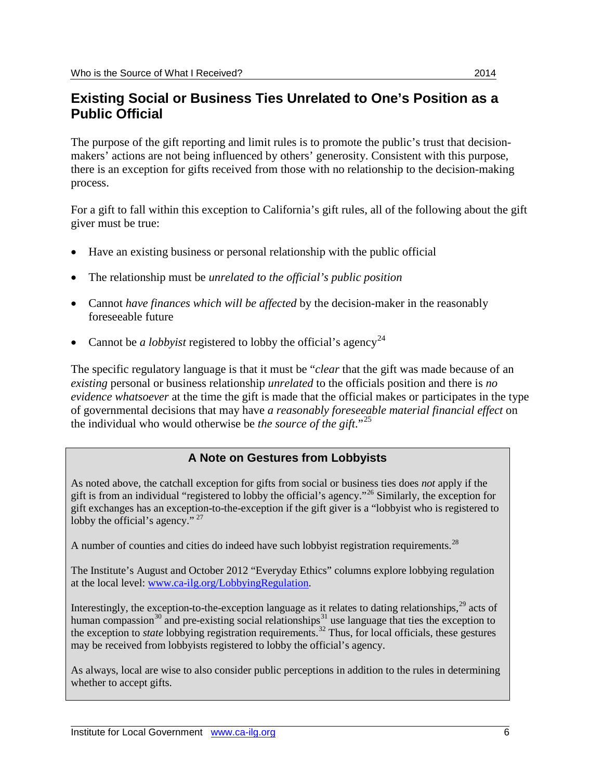### **Existing Social or Business Ties Unrelated to One's Position as a Public Official**

The purpose of the gift reporting and limit rules is to promote the public's trust that decisionmakers' actions are not being influenced by others' generosity. Consistent with this purpose, there is an exception for gifts received from those with no relationship to the decision-making process.

For a gift to fall within this exception to California's gift rules, all of the following about the gift giver must be true:

- Have an existing business or personal relationship with the public official
- The relationship must be *unrelated to the official's public position*
- Cannot *have finances which will be affected* by the decision-maker in the reasonably foreseeable future
- Cannot be *a lobbyist* registered to lobby the official's agency<sup>[24](#page-10-23)</sup>

The specific regulatory language is that it must be "*clear* that the gift was made because of an *existing* personal or business relationship *unrelated* to the officials position and there is *no evidence whatsoever* at the time the gift is made that the official makes or participates in the type of governmental decisions that may have *a reasonably foreseeable material financial effect* on the individual who would otherwise be *the source of the gift*."[25](#page-10-24)

### **A Note on Gestures from Lobbyists**

As noted above, the catchall exception for gifts from social or business ties does *not* apply if the gift is from an individual "registered to lobby the official's agency."[26](#page-10-25) Similarly, the exception for gift exchanges has an exception-to-the-exception if the gift giver is a "lobbyist who is registered to lobby the official's agency."<sup>[27](#page-10-26)</sup>

A number of counties and cities do indeed have such lobbyist registration requirements.<sup>[28](#page-10-27)</sup>

The Institute's August and October 2012 "Everyday Ethics" columns explore lobbying regulation at the local level: [www.ca-ilg.org/LobbyingRegulation.](http://www.ca-ilg.org/LobbyingRegulation)

Interestingly, the exception-to-the-exception language as it relates to dating relationships,<sup>[29](#page-10-28)</sup> acts of human compassion<sup>[30](#page-11-0)</sup> and pre-existing social relationships<sup>[31](#page-11-1)</sup> use language that ties the exception to the exception to *state* lobbying registration requirements.<sup>[32](#page-11-2)</sup> Thus, for local officials, these gestures may be received from lobbyists registered to lobby the official's agency.

As always, local are wise to also consider public perceptions in addition to the rules in determining whether to accept gifts.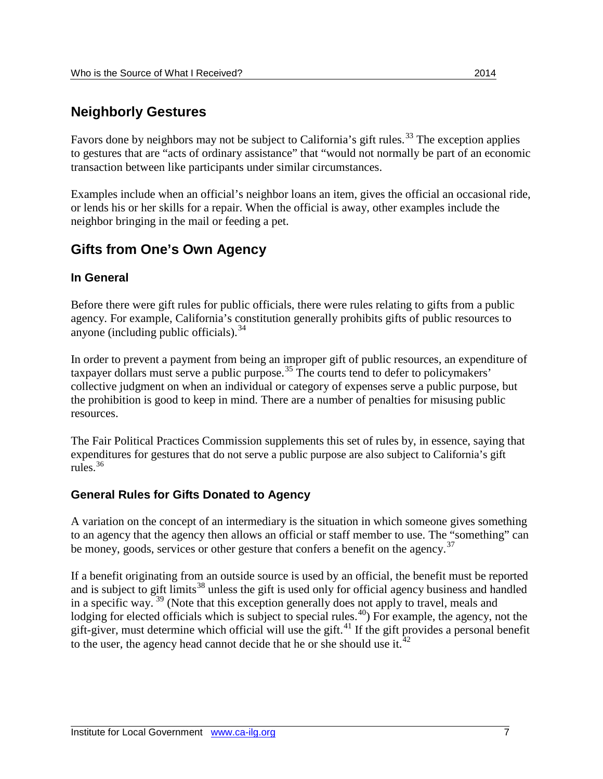### **Neighborly Gestures**

Favors done by neighbors may not be subject to California's gift rules.<sup>[33](#page-11-3)</sup> The exception applies to gestures that are "acts of ordinary assistance" that "would not normally be part of an economic transaction between like participants under similar circumstances.

Examples include when an official's neighbor loans an item, gives the official an occasional ride, or lends his or her skills for a repair. When the official is away, other examples include the neighbor bringing in the mail or feeding a pet.

### **Gifts from One's Own Agency**

#### **In General**

Before there were gift rules for public officials, there were rules relating to gifts from a public agency. For example, California's constitution generally prohibits gifts of public resources to anyone (including public officials). [34](#page-11-4)

In order to prevent a payment from being an improper gift of public resources, an expenditure of taxpayer dollars must serve a public purpose.<sup>[35](#page-11-5)</sup> The courts tend to defer to policymakers' collective judgment on when an individual or category of expenses serve a public purpose, but the prohibition is good to keep in mind. There are a number of penalties for misusing public resources.

The Fair Political Practices Commission supplements this set of rules by, in essence, saying that expenditures for gestures that do not serve a public purpose are also subject to California's gift rules.[36](#page-11-6)

#### **General Rules for Gifts Donated to Agency**

A variation on the concept of an intermediary is the situation in which someone gives something to an agency that the agency then allows an official or staff member to use. The "something" can be money, goods, services or other gesture that confers a benefit on the agency.<sup>[37](#page-11-7)</sup>

If a benefit originating from an outside source is used by an official, the benefit must be reported and is subject to gift limits<sup>[38](#page-11-8)</sup> unless the gift is used only for official agency business and handled in a specific way. [39](#page-11-9) (Note that this exception generally does not apply to travel, meals and lodging for elected officials which is subject to special rules.<sup>40</sup>) For example, the agency, not the gift-giver, must determine which official will use the gift.<sup>[41](#page-11-11)</sup> If the gift provides a personal benefit to the user, the agency head cannot decide that he or she should use it.<sup>[42](#page-11-12)</sup>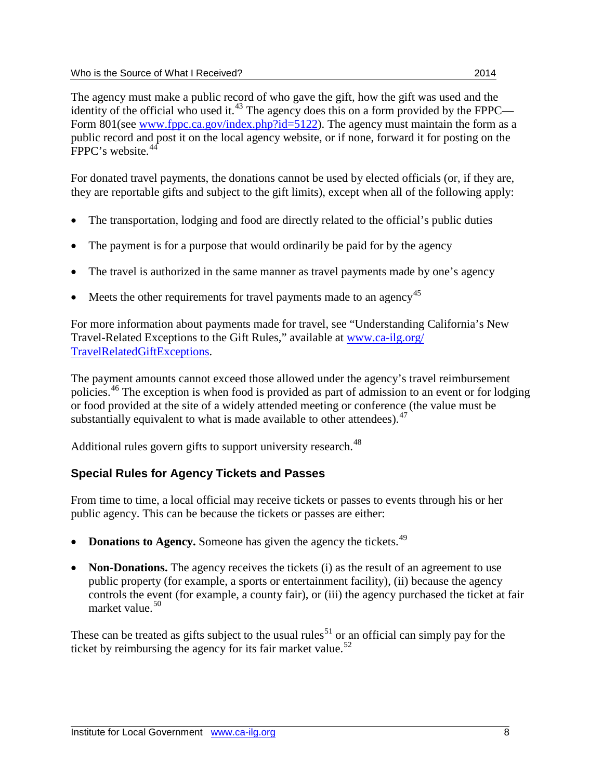The agency must make a public record of who gave the gift, how the gift was used and the identity of the official who used it.<sup>[43](#page-11-13)</sup> The agency does this on a form provided by the FPPC Form 801(see [www.fppc.ca.gov/index.php?id=5122\)](http://www.fppc.ca.gov/index.php?id=5122). The agency must maintain the form as a public record and post it on the local agency website, or if none, forward it for posting on the FPPC's website.<sup>[44](#page-11-14)</sup>

For donated travel payments, the donations cannot be used by elected officials (or, if they are, they are reportable gifts and subject to the gift limits), except when all of the following apply:

- The transportation, lodging and food are directly related to the official's public duties
- The payment is for a purpose that would ordinarily be paid for by the agency
- The travel is authorized in the same manner as travel payments made by one's agency
- Meets the other requirements for travel payments made to an agency<sup>[45](#page-11-15)</sup>

For more information about payments made for travel, see "Understanding California's New Travel-Related Exceptions to the Gift Rules," available at [www.ca-ilg.org/](http://www.ca-ilg.org/TravelRelatedGiftExceptions) [TravelRelatedGiftExceptions.](http://www.ca-ilg.org/TravelRelatedGiftExceptions)

The payment amounts cannot exceed those allowed under the agency's travel reimbursement policies.<sup>[46](#page-11-16)</sup> The exception is when food is provided as part of admission to an event or for lodging or food provided at the site of a widely attended meeting or conference (the value must be substantially equivalent to what is made available to other attendees). <sup>[47](#page-11-17)</sup>

Additional rules govern gifts to support university research.<sup>[48](#page-11-18)</sup>

### **Special Rules for Agency Tickets and Passes**

From time to time, a local official may receive tickets or passes to events through his or her public agency. This can be because the tickets or passes are either:

- **Donations to Agency.** Someone has given the agency the tickets.<sup>[49](#page-11-19)</sup>
- **Non-Donations.** The agency receives the tickets (i) as the result of an agreement to use public property (for example, a sports or entertainment facility), (ii) because the agency controls the event (for example, a county fair), or (iii) the agency purchased the ticket at fair market value. [50](#page-11-20)

These can be treated as gifts subject to the usual rules<sup>[51](#page-11-21)</sup> or an official can simply pay for the ticket by reimbursing the agency for its fair market value.<sup>[52](#page-11-22)</sup>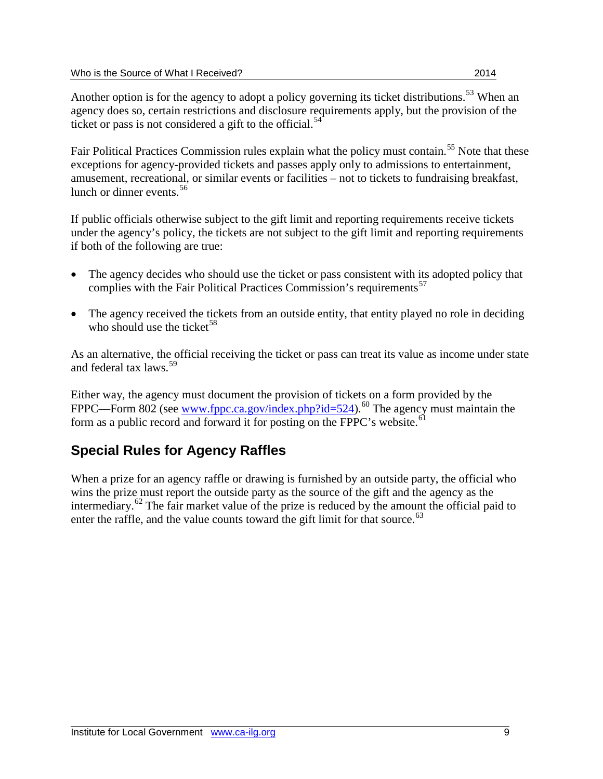Fair Political Practices Commission rules explain what the policy must contain.<sup>[55](#page-11-25)</sup> Note that these exceptions for agency-provided tickets and passes apply only to admissions to entertainment, amusement, recreational, or similar events or facilities – not to tickets to fundraising breakfast, lunch or dinner events.<sup>[56](#page-11-26)</sup>

If public officials otherwise subject to the gift limit and reporting requirements receive tickets under the agency's policy, the tickets are not subject to the gift limit and reporting requirements if both of the following are true:

- The agency decides who should use the ticket or pass consistent with its adopted policy that complies with the Fair Political Practices Commission's requirements<sup>[57](#page-11-27)</sup>
- The agency received the tickets from an outside entity, that entity played no role in deciding who should use the ticket<sup>[58](#page-11-28)</sup>

As an alternative, the official receiving the ticket or pass can treat its value as income under state and federal tax laws.<sup>[59](#page-11-29)</sup>

Either way, the agency must document the provision of tickets on a form provided by the FPPC—Form 802 (see [www.fppc.ca.gov/index.php?id=524\)](http://www.fppc.ca.gov/index.php?id=524).<sup>[60](#page-11-30)</sup> The agency must maintain the form as a public record and forward it for posting on the FPPC's website.<sup>[61](#page-11-31)</sup>

## **Special Rules for Agency Raffles**

When a prize for an agency raffle or drawing is furnished by an outside party, the official who wins the prize must report the outside party as the source of the gift and the agency as the intermediary.<sup>[62](#page-11-32)</sup> The fair market value of the prize is reduced by the amount the official paid to enter the raffle, and the value counts toward the gift limit for that source.<sup>[63](#page-11-33)</sup>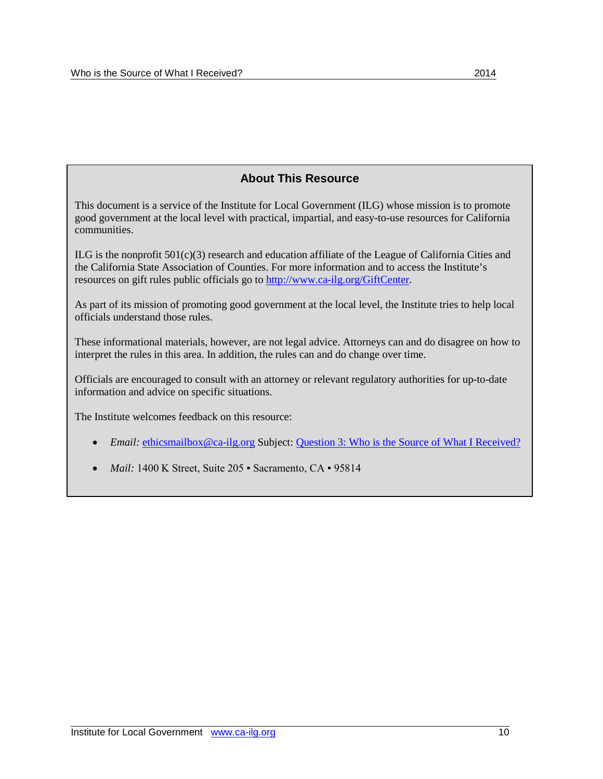#### **About This Resource**

This document is a service of the Institute for Local Government (ILG) whose mission is to promote good government at the local level with practical, impartial, and easy-to-use resources for California communities.

ILG is the nonprofit 501(c)(3) research and education affiliate of the League of California Cities and the California State Association of Counties. For more information and to access the Institute's resources on gift rules public officials go to [http://www.ca-ilg.org/GiftCenter.](http://www.ca-ilg.org/GiftCenter)

As part of its mission of promoting good government at the local level, the Institute tries to help local officials understand those rules.

These informational materials, however, are not legal advice. Attorneys can and do disagree on how to interpret the rules in this area. In addition, the rules can and do change over time.

Officials are encouraged to consult with an attorney or relevant regulatory authorities for up-to-date information and advice on specific situations.

The Institute welcomes feedback on this resource:

- *Email:* [ethicsmailbox@ca-ilg.org](mailto:ethicsmailbox@ca-ilg.org) Subject: [Question 3: Who is the Source of What I Received?](http://www.ca-ilg.org/GiftsQuestion-3)
- *Mail:* 1400 K Street, Suite 205 · Sacramento, CA · 95814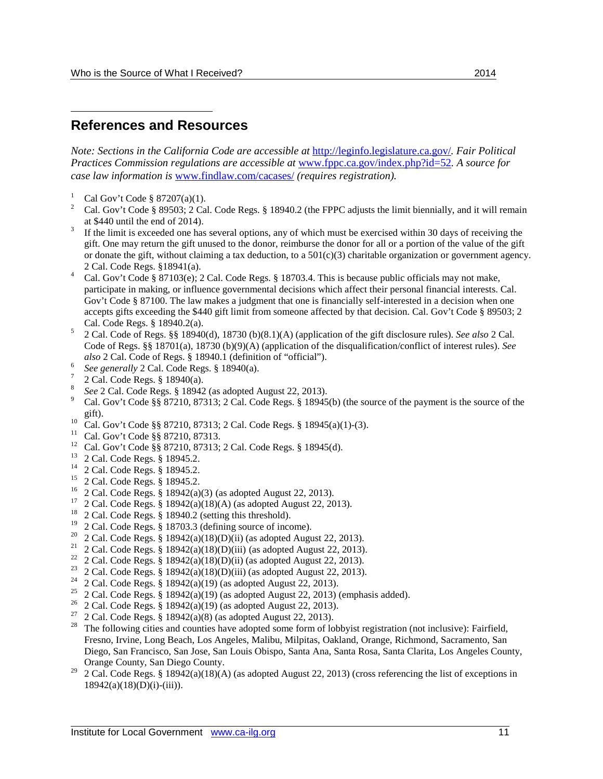#### <span id="page-10-0"></span> $\overline{a}$ **References and Resources**

*Note: Sections in the California Code are accessible at* <http://leginfo.legislature.ca.gov/>*. Fair Political Practices Commission regulations are accessible at* [www.fppc.ca.gov/index.php?id=52](http://www.fppc.ca.gov/index.php?id=52)*. A source for case law information is* [www.findlaw.com/cacases/](http://www.findlaw.com/cacases/) *(requires registration).*

- 
- <span id="page-10-1"></span><sup>1</sup> Cal Gov't Code § 87207(a)(1).<br><sup>2</sup> Cal. Gov't Code § 89503; 2 Cal. Code Regs. § 18940.2 (the FPPC adjusts the limit biennially, and it will remain at \$440 until the end of 2014).
- <span id="page-10-2"></span>If the limit is exceeded one has several options, any of which must be exercised within 30 days of receiving the gift. One may return the gift unused to the donor, reimburse the donor for all or a portion of the value of the gift or donate the gift, without claiming a tax deduction, to a  $501(c)(3)$  charitable organization or government agency.
- <span id="page-10-3"></span>2 Cal. Code Regs. §18941(a).<br><sup>4</sup> Cal. Gov't Code § 87103(e); 2 Cal. Code Regs. § 18703.4. This is because public officials may not make, participate in making, or influence governmental decisions which affect their personal financial interests. Cal. Gov't Code § 87100. The law makes a judgment that one is financially self-interested in a decision when one accepts gifts exceeding the \$440 gift limit from someone affected by that decision. Cal. Gov't Code § 89503; 2
- <span id="page-10-4"></span>Cal. Code Regs. § 18940.2(a). <sup>5</sup> 2 Cal. Code of Regs. §§ 18940(d), 18730 (b)(8.1)(A) (application of the gift disclosure rules). *See also* 2 Cal. Code of Regs. §§ 18701(a), 18730 (b)(9)(A) (application of the disqualification/conflict of interest rules). *See also* 2 Cal. Code of Regs. § 18940.1 (definition of "official").
- 
- 
- <span id="page-10-7"></span>
- <span id="page-10-6"></span><span id="page-10-5"></span><sup>6</sup> See generally 2 Cal. Code Regs. § 18940(a).<br><sup>7</sup> 2 Cal. Code Regs. § 18940(a).<br><sup>8</sup> See 2 Cal. Code Regs. § 18942 (as adopted August 22, 2013).<br><sup>9</sup> Cal. Gov't Code §§ 87210, 87313; 2 Cal. Code Regs. § 18945(b) (the sour
- <span id="page-10-9"></span><span id="page-10-8"></span>gift).<br>
<sup>10</sup> Cal. Gov't Code §§ 87210, 87313; 2 Cal. Code Regs. § 18945(a)(1)-(3).<br>
<sup>11</sup> Cal. Gov't Code §§ 87210, 87313.<br>
<sup>12</sup> Cal. Gov't Code §§ 87210, 87313; 2 Cal. Code Regs. § 18945(d).<br>
<sup>13</sup> 2 Cal. Code Regs. § 1894
- <span id="page-10-10"></span>
- <span id="page-10-11"></span>
- <span id="page-10-12"></span>
- <span id="page-10-13"></span>
- <span id="page-10-14"></span>
- <span id="page-10-15"></span>
- <span id="page-10-16"></span>
- <span id="page-10-17"></span>
- 
- 
- 
- <span id="page-10-21"></span>
- <span id="page-10-22"></span>
- <span id="page-10-23"></span>
- <span id="page-10-24"></span>
- <span id="page-10-26"></span><span id="page-10-25"></span>
- <span id="page-10-27"></span>
- <span id="page-10-20"></span><span id="page-10-19"></span><span id="page-10-18"></span><sup>20</sup> 2 Cal. Code Regs. § 18942(a)(18)(D)(ii) (as adopted August 22, 2013).<br>
<sup>21</sup> 2 Cal. Code Regs. § 18942(a)(18)(D)(iii) (as adopted August 22, 2013).<br>
<sup>22</sup> 2 Cal. Code Regs. § 18942(a)(18)(D)(ii) (as adopted August 22, Fresno, Irvine, Long Beach, Los Angeles, Malibu, Milpitas, Oakland, Orange, Richmond, Sacramento, San Diego, San Francisco, San Jose, San Louis Obispo, Santa Ana, Santa Rosa, Santa Clarita, Los Angeles County, Orange County, San Diego County.
- <span id="page-10-28"></span><sup>29</sup> 2 Cal. Code Regs. § 18942(a)(18)(A) (as adopted August 22, 2013) (cross referencing the list of exceptions in  $18942(a)(18)(D)(i)-(iii)$ ).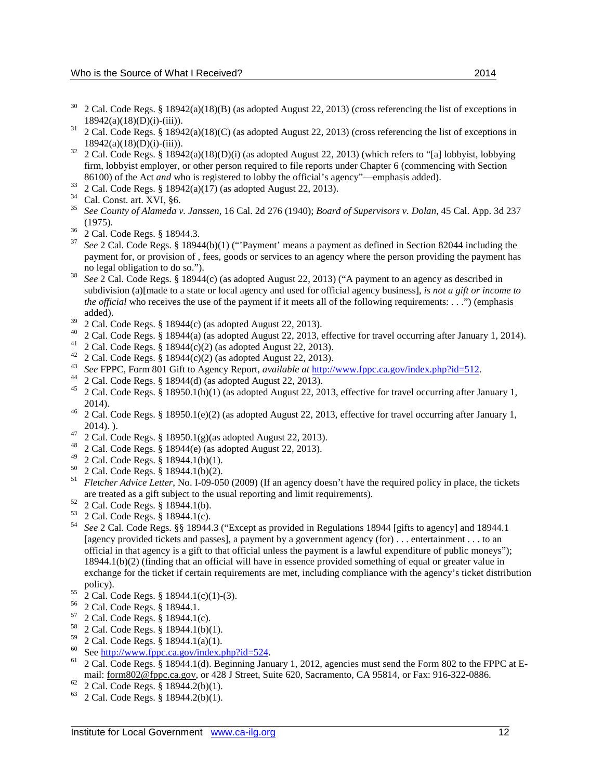- <span id="page-11-0"></span> $30\quad$  2 Cal. Code Regs. § 18942(a)(18)(B) (as adopted August 22, 2013) (cross referencing the list of exceptions in
- <span id="page-11-1"></span>18942(a)(18)(D)(i)-(iii)).<br>
<sup>31</sup> 2 Cal. Code Regs. § 18942(a)(18)(C) (as adopted August 22, 2013) (cross referencing the list of exceptions in 18942(a)(18)(D)(i)-(iii)).
- <span id="page-11-2"></span><sup>32</sup> 2 Cal. Code Regs. § 18942(a)(18)(D)(i) (as adopted August 22, 2013) (which refers to "[a] lobbyist, lobbying firm, lobbyist employer, or other person required to file reports under Chapter 6 (commencing with Section
- 
- <span id="page-11-4"></span>
- <span id="page-11-3"></span>86100) of the Act *and* who is registered to lobby the official's agency"—emphasis added).<br><sup>33</sup> 2 Cal. Code Regs. § 18942(a)(17) (as adopted August 22, 2013).<br><sup>34</sup> Cal. Const. art. XVI, §6.<br><sup>35</sup> *See County of Alameda v.*
- <span id="page-11-7"></span>
- <span id="page-11-6"></span><span id="page-11-5"></span>(1975). 36 2 Cal. Code Regs. § 18944.3. <sup>37</sup> *See* 2 Cal. Code Regs. § 18944(b)(1) ("'Payment' means a payment as defined in Section 82044 including the payment for, or provision of , fees, goods or services to an agency where the person providing the payment has no legal obligation to do so.").<br>See 2 Cal. Code Regs. § 18944(c) (as adopted August 22, 2013) ("A payment to an agency as described in
- <span id="page-11-8"></span>subdivision (a)[made to a state or local agency and used for official agency business], *is not a gift or income to the official* who receives the use of the payment if it meets all of the following requirements: . . .") (emphasis added).<br>
<sup>39</sup> 2 Cal. Code Regs. § 18944(c) (as adopted August 22, 2013).<br>
<sup>40</sup> 2 Cal. Code Regs. § 18944(a) (as adopted August 22, 2013, effective for travel occurring after January 1, 2014).<br>
<sup>40</sup> 2 Cal. Code Regs. § 189
- <span id="page-11-9"></span>
- <span id="page-11-10"></span>
- <span id="page-11-11"></span>
- <span id="page-11-12"></span>
- <span id="page-11-13"></span>
- <span id="page-11-14"></span>
- <span id="page-11-15"></span>2014).<br>
<sup>46</sup> 2 Cal. Code Regs. § 18950.1(e)(2) (as adopted August 22, 2013, effective for travel occurring after January 1,
- <span id="page-11-16"></span>2014). ). 47 2 Cal. Code Regs. § 18950.1(g)(as adopted August 22, 2013). 48 2 Cal. Code Regs. § 18944(e) (as adopted August 22, 2013). 49 2 Cal. Code Regs. § 18944.1(b)(1).
- <span id="page-11-18"></span><span id="page-11-17"></span>
- 
- 
- 
- <span id="page-11-20"></span><span id="page-11-19"></span><sup>50</sup> 2 Cal. Code Regs. § 18944.1(b)(2).<br><sup>51</sup> *Fletcher Advice Letter*, No. I-09-050 (2009) (If an agency doesn't have the required policy in place, the tickets
- 
- <span id="page-11-24"></span><span id="page-11-23"></span>
- <span id="page-11-22"></span><span id="page-11-21"></span>The treated as a gift subject to the usual reporting and limit requirements).<br>
<sup>52</sup> 2 Cal. Code Regs. § 18944.1(b).<br>
<sup>53</sup> 2 Cal. Code Regs. § 18944.1(c).<br>
<sup>54</sup> *See* 2 Cal. Code Regs. § § 18944.3 ("Except as provided in R [agency provided tickets and passes], a payment by a government agency (for) . . . entertainment . . . to an official in that agency is a gift to that official unless the payment is a lawful expenditure of public moneys"); 18944.1(b)(2) (finding that an official will have in essence provided something of equal or greater value in exchange for the ticket if certain requirements are met, including compliance with the agency's ticket distribution
- 
- 
- <span id="page-11-28"></span><span id="page-11-27"></span>
- <span id="page-11-26"></span><span id="page-11-25"></span><sup>55</sup> 2 Cal. Code Regs. § 18944.1(c)(1)-(3).<br>
<sup>56</sup> 2 Cal. Code Regs. § 18944.1.<br>
<sup>57</sup> 2 Cal. Code Regs. § 18944.1(b)(1).<br>
<sup>58</sup> 2 Cal. Code Regs. § 18944.1(b)(1).<br>
<sup>59</sup> 2 Cal. Code Regs. § 18944.1(a)(1).
- 
- 
- <span id="page-11-31"></span><span id="page-11-30"></span><span id="page-11-29"></span> $\frac{60}{1}$  See [http://www.fppc.ca.gov/index.php?id=524.](http://www.fppc.ca.gov/index.php?id=524)<br>
61 2 Cal. Code Regs. § 18944.1(d). Beginning January 1, 2012, agencies must send the Form 802 to the FPPC at Email: <u>form802@fppc.ca.gov</u>, or 428 J Street, Suite 620, Sacramento, CA 95814, or Fax: 916-322-0886.<br><sup>62</sup> 2 Cal. Code Regs. § 18944.2(b)(1).<br><sup>63</sup> 2 Cal. Code Regs. § 18944.2(b)(1).
- <span id="page-11-33"></span><span id="page-11-32"></span>
-